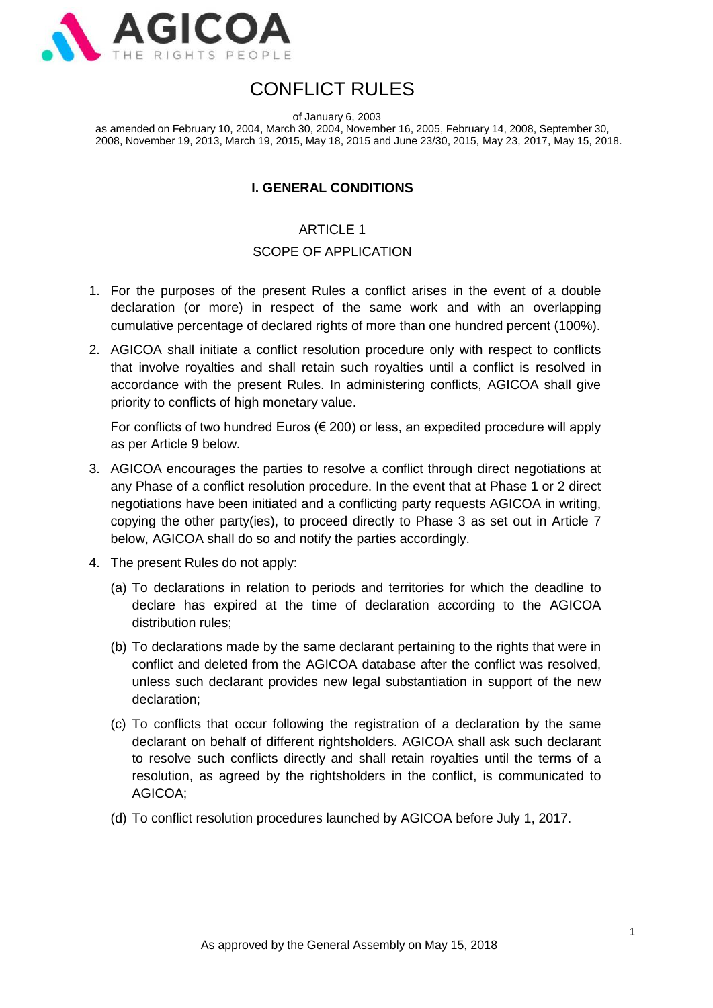

# CONFLICT RULES

of January 6, 2003

as amended on February 10, 2004, March 30, 2004, November 16, 2005, February 14, 2008, September 30, 2008, November 19, 2013, March 19, 2015, May 18, 2015 and June 23/30, 2015, May 23, 2017, May 15, 2018.

#### **I. GENERAL CONDITIONS**

#### ARTICLE 1

#### SCOPE OF APPLICATION

- 1. For the purposes of the present Rules a conflict arises in the event of a double declaration (or more) in respect of the same work and with an overlapping cumulative percentage of declared rights of more than one hundred percent (100%).
- 2. AGICOA shall initiate a conflict resolution procedure only with respect to conflicts that involve royalties and shall retain such royalties until a conflict is resolved in accordance with the present Rules. In administering conflicts, AGICOA shall give priority to conflicts of high monetary value.

For conflicts of two hundred Euros  $(\epsilon 200)$  or less, an expedited procedure will apply as per Article 9 below.

- 3. AGICOA encourages the parties to resolve a conflict through direct negotiations at any Phase of a conflict resolution procedure. In the event that at Phase 1 or 2 direct negotiations have been initiated and a conflicting party requests AGICOA in writing, copying the other party(ies), to proceed directly to Phase 3 as set out in Article 7 below, AGICOA shall do so and notify the parties accordingly.
- 4. The present Rules do not apply:
	- (a) To declarations in relation to periods and territories for which the deadline to declare has expired at the time of declaration according to the AGICOA distribution rules;
	- (b) To declarations made by the same declarant pertaining to the rights that were in conflict and deleted from the AGICOA database after the conflict was resolved, unless such declarant provides new legal substantiation in support of the new declaration;
	- (c) To conflicts that occur following the registration of a declaration by the same declarant on behalf of different rightsholders. AGICOA shall ask such declarant to resolve such conflicts directly and shall retain royalties until the terms of a resolution, as agreed by the rightsholders in the conflict, is communicated to AGICOA;
	- (d) To conflict resolution procedures launched by AGICOA before July 1, 2017.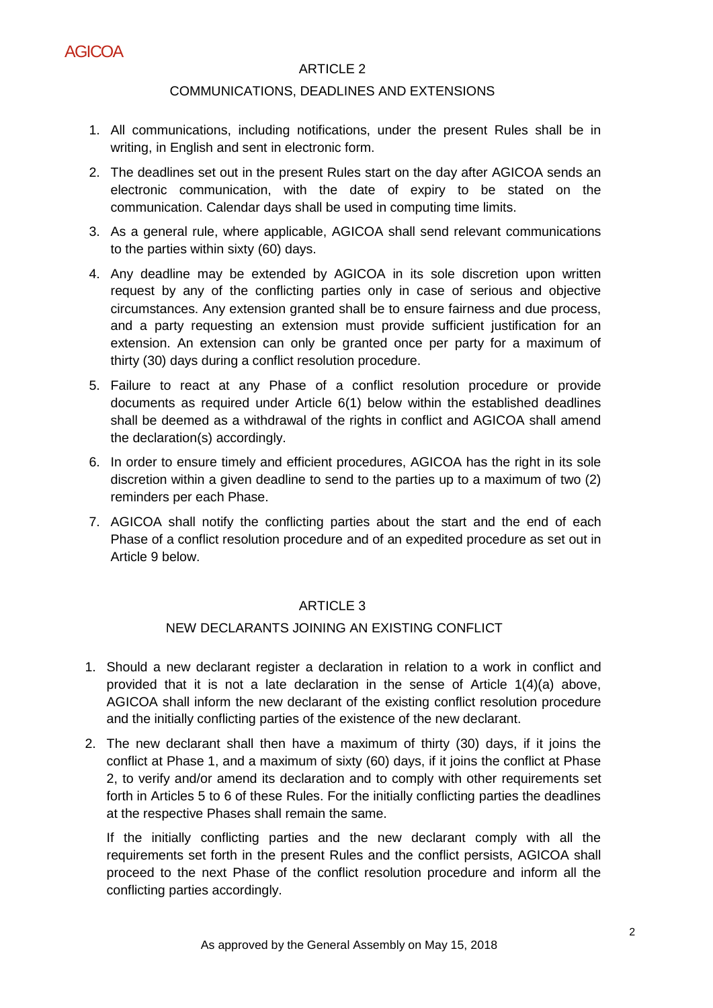

## ARTICLE 2

#### COMMUNICATIONS, DEADLINES AND EXTENSIONS

- 1. All communications, including notifications, under the present Rules shall be in writing, in English and sent in electronic form.
- 2. The deadlines set out in the present Rules start on the day after AGICOA sends an electronic communication, with the date of expiry to be stated on the communication. Calendar days shall be used in computing time limits.
- 3. As a general rule, where applicable, AGICOA shall send relevant communications to the parties within sixty (60) days.
- 4. Any deadline may be extended by AGICOA in its sole discretion upon written request by any of the conflicting parties only in case of serious and objective circumstances. Any extension granted shall be to ensure fairness and due process, and a party requesting an extension must provide sufficient justification for an extension. An extension can only be granted once per party for a maximum of thirty (30) days during a conflict resolution procedure.
- 5. Failure to react at any Phase of a conflict resolution procedure or provide documents as required under Article 6(1) below within the established deadlines shall be deemed as a withdrawal of the rights in conflict and AGICOA shall amend the declaration(s) accordingly.
- 6. In order to ensure timely and efficient procedures, AGICOA has the right in its sole discretion within a given deadline to send to the parties up to a maximum of two (2) reminders per each Phase.
- 7. AGICOA shall notify the conflicting parties about the start and the end of each Phase of a conflict resolution procedure and of an expedited procedure as set out in Article 9 below.

#### ARTICLE 3

#### NEW DECLARANTS JOINING AN EXISTING CONFLICT

- 1. Should a new declarant register a declaration in relation to a work in conflict and provided that it is not a late declaration in the sense of Article 1(4)(a) above, AGICOA shall inform the new declarant of the existing conflict resolution procedure and the initially conflicting parties of the existence of the new declarant.
- 2. The new declarant shall then have a maximum of thirty (30) days, if it joins the conflict at Phase 1, and a maximum of sixty (60) days, if it joins the conflict at Phase 2, to verify and/or amend its declaration and to comply with other requirements set forth in Articles 5 to 6 of these Rules. For the initially conflicting parties the deadlines at the respective Phases shall remain the same.

If the initially conflicting parties and the new declarant comply with all the requirements set forth in the present Rules and the conflict persists, AGICOA shall proceed to the next Phase of the conflict resolution procedure and inform all the conflicting parties accordingly.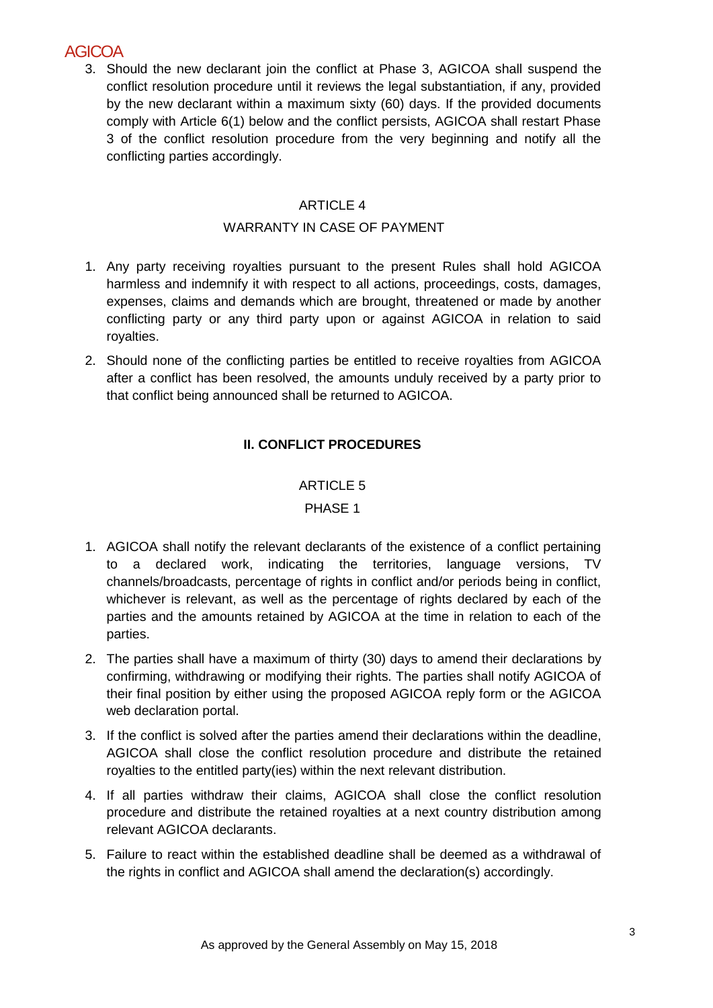## **AGICOA**

3. Should the new declarant join the conflict at Phase 3, AGICOA shall suspend the conflict resolution procedure until it reviews the legal substantiation, if any, provided by the new declarant within a maximum sixty (60) days. If the provided documents comply with Article 6(1) below and the conflict persists, AGICOA shall restart Phase 3 of the conflict resolution procedure from the very beginning and notify all the conflicting parties accordingly.

## ARTICLE 4

#### WARRANTY IN CASE OF PAYMENT

- 1. Any party receiving royalties pursuant to the present Rules shall hold AGICOA harmless and indemnify it with respect to all actions, proceedings, costs, damages, expenses, claims and demands which are brought, threatened or made by another conflicting party or any third party upon or against AGICOA in relation to said royalties.
- 2. Should none of the conflicting parties be entitled to receive royalties from AGICOA after a conflict has been resolved, the amounts unduly received by a party prior to that conflict being announced shall be returned to AGICOA.

## **II. CONFLICT PROCEDURES**

## ARTICLE 5

## PHASE 1

- 1. AGICOA shall notify the relevant declarants of the existence of a conflict pertaining to a declared work, indicating the territories, language versions, TV channels/broadcasts, percentage of rights in conflict and/or periods being in conflict, whichever is relevant, as well as the percentage of rights declared by each of the parties and the amounts retained by AGICOA at the time in relation to each of the parties.
- 2. The parties shall have a maximum of thirty (30) days to amend their declarations by confirming, withdrawing or modifying their rights. The parties shall notify AGICOA of their final position by either using the proposed AGICOA reply form or the AGICOA web declaration portal.
- 3. If the conflict is solved after the parties amend their declarations within the deadline, AGICOA shall close the conflict resolution procedure and distribute the retained royalties to the entitled party(ies) within the next relevant distribution.
- 4. If all parties withdraw their claims, AGICOA shall close the conflict resolution procedure and distribute the retained royalties at a next country distribution among relevant AGICOA declarants.
- 5. Failure to react within the established deadline shall be deemed as a withdrawal of the rights in conflict and AGICOA shall amend the declaration(s) accordingly.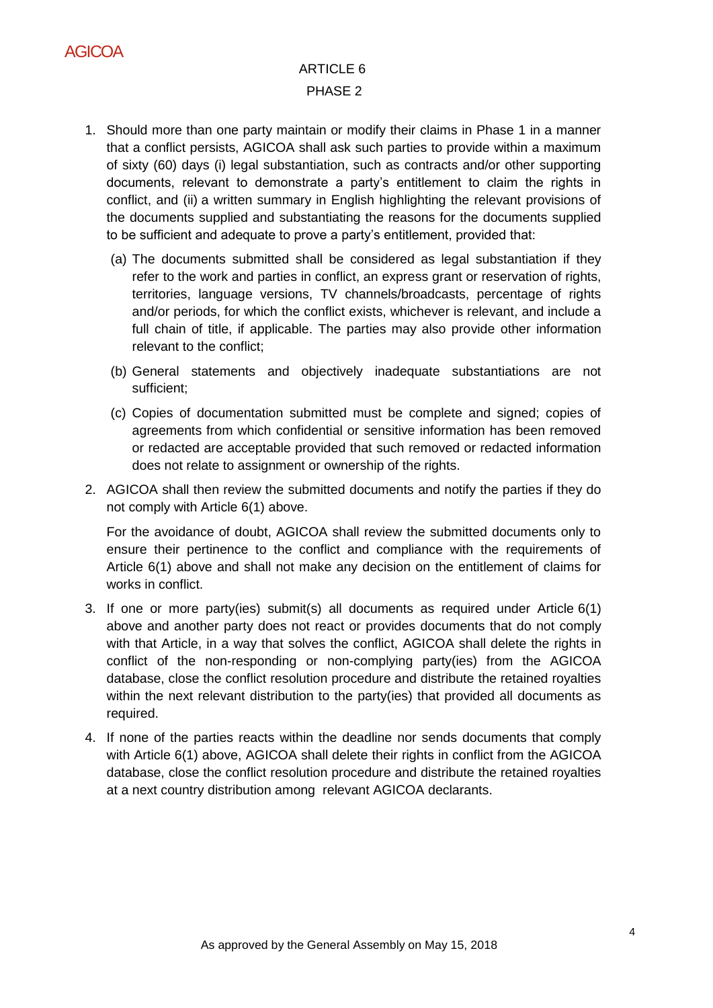

## ARTICLE 6 PHASE 2

- 1. Should more than one party maintain or modify their claims in Phase 1 in a manner that a conflict persists, AGICOA shall ask such parties to provide within a maximum of sixty (60) days (i) legal substantiation, such as contracts and/or other supporting documents, relevant to demonstrate a party's entitlement to claim the rights in conflict, and (ii) a written summary in English highlighting the relevant provisions of the documents supplied and substantiating the reasons for the documents supplied to be sufficient and adequate to prove a party's entitlement, provided that:
	- (a) The documents submitted shall be considered as legal substantiation if they refer to the work and parties in conflict, an express grant or reservation of rights, territories, language versions, TV channels/broadcasts, percentage of rights and/or periods, for which the conflict exists, whichever is relevant, and include a full chain of title, if applicable. The parties may also provide other information relevant to the conflict;
	- (b) General statements and objectively inadequate substantiations are not sufficient;
	- (c) Copies of documentation submitted must be complete and signed; copies of agreements from which confidential or sensitive information has been removed or redacted are acceptable provided that such removed or redacted information does not relate to assignment or ownership of the rights.
- 2. AGICOA shall then review the submitted documents and notify the parties if they do not comply with Article 6(1) above.

For the avoidance of doubt, AGICOA shall review the submitted documents only to ensure their pertinence to the conflict and compliance with the requirements of Article 6(1) above and shall not make any decision on the entitlement of claims for works in conflict.

- 3. If one or more party(ies) submit(s) all documents as required under Article 6(1) above and another party does not react or provides documents that do not comply with that Article, in a way that solves the conflict, AGICOA shall delete the rights in conflict of the non-responding or non-complying party(ies) from the AGICOA database, close the conflict resolution procedure and distribute the retained royalties within the next relevant distribution to the party(ies) that provided all documents as required.
- 4. If none of the parties reacts within the deadline nor sends documents that comply with Article 6(1) above, AGICOA shall delete their rights in conflict from the AGICOA database, close the conflict resolution procedure and distribute the retained royalties at a next country distribution among relevant AGICOA declarants.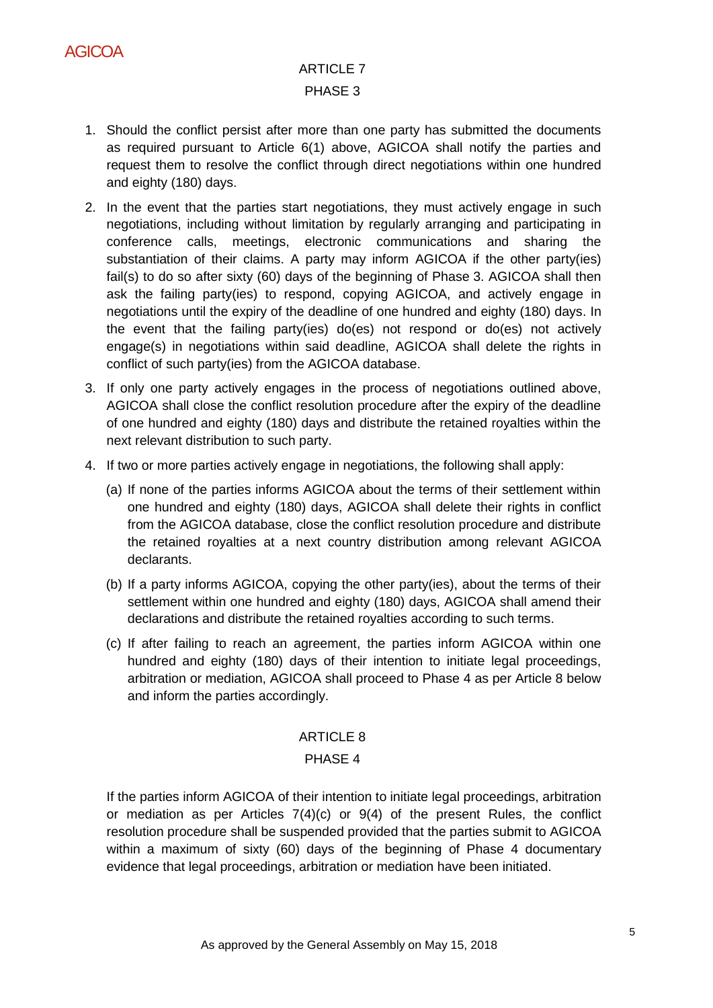

## ARTICLE 7 PHASE 3

- 1. Should the conflict persist after more than one party has submitted the documents as required pursuant to Article 6(1) above, AGICOA shall notify the parties and request them to resolve the conflict through direct negotiations within one hundred and eighty (180) days.
- 2. In the event that the parties start negotiations, they must actively engage in such negotiations, including without limitation by regularly arranging and participating in conference calls, meetings, electronic communications and sharing the substantiation of their claims. A party may inform AGICOA if the other party(ies) fail(s) to do so after sixty (60) days of the beginning of Phase 3. AGICOA shall then ask the failing party(ies) to respond, copying AGICOA, and actively engage in negotiations until the expiry of the deadline of one hundred and eighty (180) days. In the event that the failing party(ies) do(es) not respond or do(es) not actively engage(s) in negotiations within said deadline, AGICOA shall delete the rights in conflict of such party(ies) from the AGICOA database.
- 3. If only one party actively engages in the process of negotiations outlined above, AGICOA shall close the conflict resolution procedure after the expiry of the deadline of one hundred and eighty (180) days and distribute the retained royalties within the next relevant distribution to such party.
- 4. If two or more parties actively engage in negotiations, the following shall apply:
	- (a) If none of the parties informs AGICOA about the terms of their settlement within one hundred and eighty (180) days, AGICOA shall delete their rights in conflict from the AGICOA database, close the conflict resolution procedure and distribute the retained royalties at a next country distribution among relevant AGICOA declarants.
	- (b) If a party informs AGICOA, copying the other party(ies), about the terms of their settlement within one hundred and eighty (180) days, AGICOA shall amend their declarations and distribute the retained royalties according to such terms.
	- (c) If after failing to reach an agreement, the parties inform AGICOA within one hundred and eighty (180) days of their intention to initiate legal proceedings, arbitration or mediation, AGICOA shall proceed to Phase 4 as per Article 8 below and inform the parties accordingly.

#### ARTICLE 8

#### PHASE 4

If the parties inform AGICOA of their intention to initiate legal proceedings, arbitration or mediation as per Articles  $7(4)(c)$  or  $9(4)$  of the present Rules, the conflict resolution procedure shall be suspended provided that the parties submit to AGICOA within a maximum of sixty (60) days of the beginning of Phase 4 documentary evidence that legal proceedings, arbitration or mediation have been initiated.